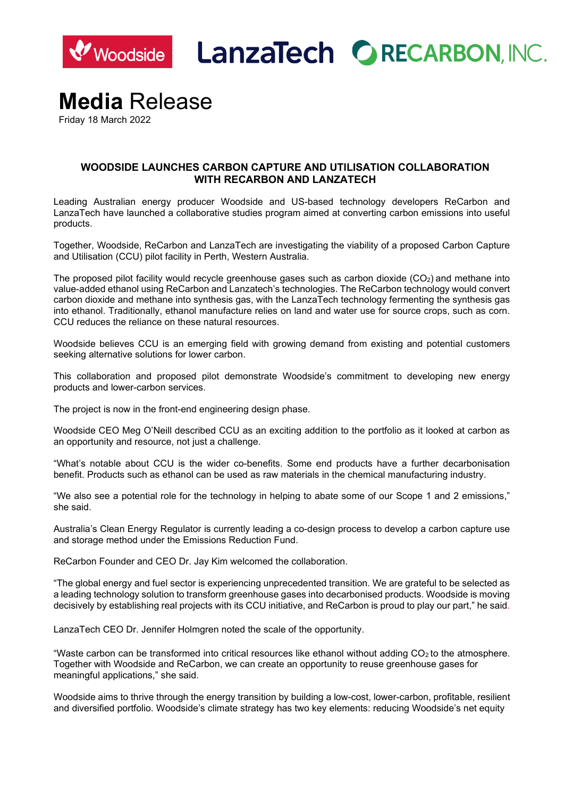

**LanzaTech ORECARBON, INC.** 

# **Media** Release

Friday 18 March 2022

## **WOODSIDE LAUNCHES CARBON CAPTURE AND UTILISATION COLLABORATION WITH RECARBON AND LANZATECH**

Leading Australian energy producer Woodside and US-based technology developers ReCarbon and LanzaTech have launched a collaborative studies program aimed at converting carbon emissions into useful products.

Together, Woodside, ReCarbon and LanzaTech are investigating the viability of a proposed Carbon Capture and Utilisation (CCU) pilot facility in Perth, Western Australia.

The proposed pilot facility would recycle greenhouse gases such as carbon dioxide  $(CO<sub>2</sub>)$  and methane into value-added ethanol using ReCarbon and Lanzatech's technologies. The ReCarbon technology would convert carbon dioxide and methane into synthesis gas, with the LanzaTech technology fermenting the synthesis gas into ethanol. Traditionally, ethanol manufacture relies on land and water use for source crops, such as corn. CCU reduces the reliance on these natural resources.

Woodside believes CCU is an emerging field with growing demand from existing and potential customers seeking alternative solutions for lower carbon.

This collaboration and proposed pilot demonstrate Woodside's commitment to developing new energy products and lower-carbon services.

The project is now in the front-end engineering design phase.

Woodside CEO Meg O'Neill described CCU as an exciting addition to the portfolio as it looked at carbon as an opportunity and resource, not just a challenge.

"What's notable about CCU is the wider co-benefits. Some end products have a further decarbonisation benefit. Products such as ethanol can be used as raw materials in the chemical manufacturing industry.

"We also see a potential role for the technology in helping to abate some of our Scope 1 and 2 emissions," she said.

Australia's Clean Energy Regulator is currently leading a co-design process to develop a carbon capture use and storage method under the Emissions Reduction Fund.

ReCarbon Founder and CEO Dr. Jay Kim welcomed the collaboration.

"The global energy and fuel sector is experiencing unprecedented transition. We are grateful to be selected as a leading technology solution to transform greenhouse gases into decarbonised products. Woodside is moving decisively by establishing real projects with its CCU initiative, and ReCarbon is proud to play our part," he said.

LanzaTech CEO Dr. Jennifer Holmgren noted the scale of the opportunity.

"Waste carbon can be transformed into critical resources like ethanol without adding CO2 to the atmosphere. Together with Woodside and ReCarbon, we can create an opportunity to reuse greenhouse gases for meaningful applications," she said.

Woodside aims to thrive through the energy transition by building a low-cost, lower-carbon, profitable, resilient and diversified portfolio. Woodside's climate strategy has two key elements: reducing Woodside's net equity